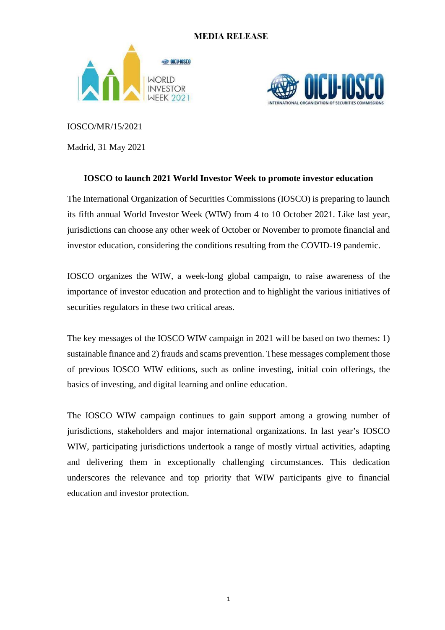# **MEDIA RELEASE**





IOSCO/MR/15/2021

Madrid, 31 May 2021

# **IOSCO to launch 2021 World Investor Week to promote investor education**

The International Organization of Securities Commissions (IOSCO) is preparing to launch its fifth annual World Investor Week (WIW) from 4 to 10 October 2021. Like last year, jurisdictions can choose any other week of October or November to promote financial and investor education, considering the conditions resulting from the COVID-19 pandemic.

IOSCO organizes the WIW, a week-long global campaign, to raise awareness of the importance of investor education and protection and to highlight the various initiatives of securities regulators in these two critical areas.

The key messages of the IOSCO WIW campaign in 2021 will be based on two themes: 1) sustainable finance and 2) frauds and scams prevention. These messages complement those of previous IOSCO WIW editions, such as online investing, initial coin offerings, the basics of investing, and digital learning and online education.

The IOSCO WIW campaign continues to gain support among a growing number of jurisdictions, stakeholders and major international organizations. In last year's IOSCO WIW, participating jurisdictions undertook a range of mostly virtual activities, adapting and delivering them in exceptionally challenging circumstances. This dedication underscores the relevance and top priority that WIW participants give to financial education and investor protection.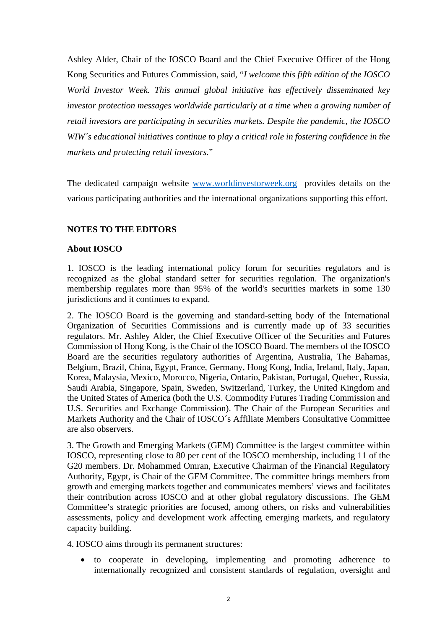Ashley Alder, Chair of the IOSCO Board and the Chief Executive Officer of the Hong Kong Securities and Futures Commission, said, "*I welcome this fifth edition of the IOSCO World Investor Week. This annual global initiative has effectively disseminated key investor protection messages worldwide particularly at a time when a growing number of retail investors are participating in securities markets. Despite the pandemic, the IOSCO WIW´s educational initiatives continue to play a critical role in fostering confidence in the markets and protecting retail investors.*"

The dedicated campaign website [www.worldinvestorweek.org](http://www.worldinvestorweek.org/) provides details on the various participating authorities and the international organizations supporting this effort.

## **NOTES TO THE EDITORS**

### **About IOSCO**

1. IOSCO is the leading international policy forum for securities regulators and is recognized as the global standard setter for securities regulation. The organization's membership regulates more than 95% of the world's securities markets in some 130 jurisdictions and it continues to expand.

2. The IOSCO Board is the governing and standard-setting body of the International Organization of Securities Commissions and is currently made up of 33 securities regulators. Mr. Ashley Alder, the Chief Executive Officer of the Securities and Futures Commission of Hong Kong, is the Chair of the IOSCO Board. The members of the IOSCO Board are the securities regulatory authorities of Argentina, Australia, The Bahamas, Belgium, Brazil, China, Egypt, France, Germany, Hong Kong, India, Ireland, Italy, Japan, Korea, Malaysia, Mexico, Morocco, Nigeria, Ontario, Pakistan, Portugal, Quebec, Russia, Saudi Arabia, Singapore, Spain, Sweden, Switzerland, Turkey, the United Kingdom and the United States of America (both the U.S. Commodity Futures Trading Commission and U.S. Securities and Exchange Commission). The Chair of the European Securities and Markets Authority and the Chair of IOSCO´s Affiliate Members Consultative Committee are also observers.

3. The Growth and Emerging Markets (GEM) Committee is the largest committee within IOSCO, representing close to 80 per cent of the IOSCO membership, including 11 of the G20 members. Dr. Mohammed Omran, Executive Chairman of the Financial Regulatory Authority, Egypt, is Chair of the GEM Committee. The committee brings members from growth and emerging markets together and communicates members' views and facilitates their contribution across IOSCO and at other global regulatory discussions. The GEM Committee's strategic priorities are focused, among others, on risks and vulnerabilities assessments, policy and development work affecting emerging markets, and regulatory capacity building.

4. IOSCO aims through its permanent structures:

• to cooperate in developing, implementing and promoting adherence to internationally recognized and consistent standards of regulation, oversight and